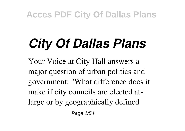# *City Of Dallas Plans*

Your Voice at City Hall answers a major question of urban politics and government: "What difference does it make if city councils are elected atlarge or by geographically defined

Page 1/54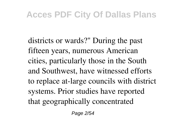districts or wards?" During the past fifteen years, numerous American cities, particularly those in the South and Southwest, have witnessed efforts to replace at-large councils with district systems. Prior studies have reported that geographically concentrated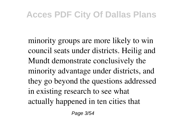minority groups are more likely to win council seats under districts. Heilig and Mundt demonstrate conclusively the minority advantage under districts, and they go beyond the questions addressed in existing research to see what actually happened in ten cities that

Page 3/54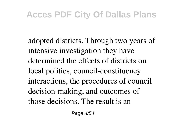adopted districts. Through two years of intensive investigation they have determined the effects of districts on local politics, council-constituency interactions, the procedures of council decision-making, and outcomes of those decisions. The result is an

Page 4/54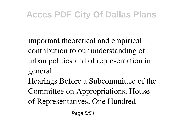important theoretical and empirical contribution to our understanding of urban politics and of representation in general.

Hearings Before a Subcommittee of the Committee on Appropriations, House of Representatives, One Hundred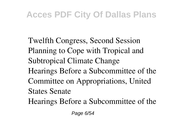Twelfth Congress, Second Session Planning to Cope with Tropical and Subtropical Climate Change Hearings Before a Subcommittee of the Committee on Appropriations, United States Senate Hearings Before a Subcommittee of the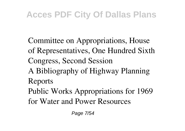Committee on Appropriations, House of Representatives, One Hundred Sixth Congress, Second Session A Bibliography of Highway Planning Reports Public Works Appropriations for 1969 for Water and Power Resources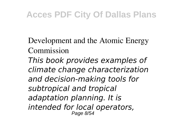Development and the Atomic Energy Commission *This book provides examples of climate change characterization and decision-making tools for subtropical and tropical adaptation planning. It is intended for local operators,* Page 8/54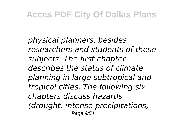*physical planners, besides researchers and students of these subjects. The first chapter describes the status of climate planning in large subtropical and tropical cities. The following six chapters discuss hazards (drought, intense precipitations,* Page 9/54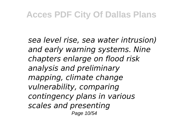*sea level rise, sea water intrusion) and early warning systems. Nine chapters enlarge on flood risk analysis and preliminary mapping, climate change vulnerability, comparing contingency plans in various scales and presenting* Page 10/54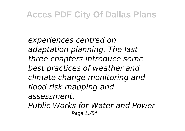*experiences centred on adaptation planning. The last three chapters introduce some best practices of weather and climate change monitoring and flood risk mapping and assessment. Public Works for Water and Power* Page 11/54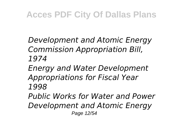*Development and Atomic Energy Commission Appropriation Bill, 1974 Energy and Water Development*

*Appropriations for Fiscal Year 1998*

*Public Works for Water and Power Development and Atomic Energy* Page 12/54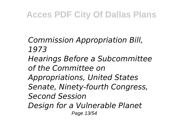*Commission Appropriation Bill, 1973 Hearings Before a Subcommittee of the Committee on Appropriations, United States Senate, Ninety-fourth Congress, Second Session Design for a Vulnerable Planet* Page 13/54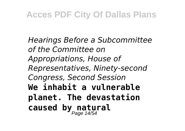*Hearings Before a Subcommittee of the Committee on Appropriations, House of Representatives, Ninety-second Congress, Second Session* **We inhabit a vulnerable planet. The devastation caused by natural** Page 14/54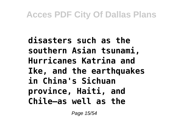**disasters such as the southern Asian tsunami, Hurricanes Katrina and Ike, and the earthquakes in China's Sichuan province, Haiti, and Chile—as well as the**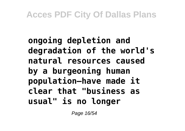## **ongoing depletion and degradation of the world's natural resources caused by a burgeoning human population—have made it clear that "business as usual" is no longer**

Page 16/54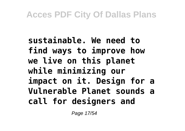**sustainable. We need to find ways to improve how we live on this planet while minimizing our impact on it. Design for a Vulnerable Planet sounds a call for designers and**

Page 17/54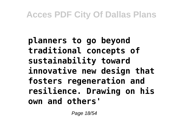**planners to go beyond traditional concepts of sustainability toward innovative new design that fosters regeneration and resilience. Drawing on his own and others'**

Page 18/54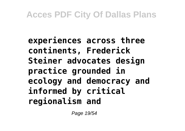**experiences across three continents, Frederick Steiner advocates design practice grounded in ecology and democracy and informed by critical regionalism and**

Page 19/54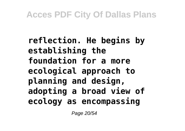**reflection. He begins by establishing the foundation for a more ecological approach to planning and design, adopting a broad view of ecology as encompassing**

Page 20/54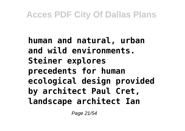**human and natural, urban and wild environments. Steiner explores precedents for human ecological design provided by architect Paul Cret, landscape architect Ian**

Page 21/54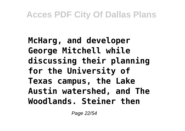## **McHarg, and developer George Mitchell while discussing their planning for the University of Texas campus, the Lake Austin watershed, and The Woodlands. Steiner then**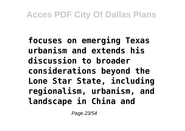**focuses on emerging Texas urbanism and extends his discussion to broader considerations beyond the Lone Star State, including regionalism, urbanism, and landscape in China and**

Page 23/54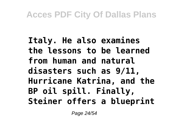## **Italy. He also examines the lessons to be learned from human and natural disasters such as 9/11, Hurricane Katrina, and the BP oil spill. Finally, Steiner offers a blueprint**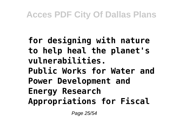**for designing with nature to help heal the planet's vulnerabilities. Public Works for Water and Power Development and Energy Research Appropriations for Fiscal**

Page 25/54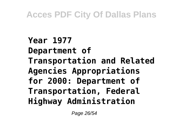**Year 1977 Department of Transportation and Related Agencies Appropriations for 2000: Department of Transportation, Federal Highway Administration**

Page 26/54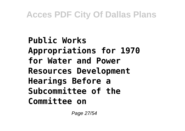**Public Works Appropriations for 1970 for Water and Power Resources Development Hearings Before a Subcommittee of the Committee on**

Page 27/54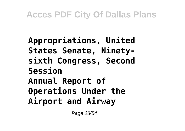## **Appropriations, United States Senate, Ninetysixth Congress, Second Session Annual Report of Operations Under the Airport and Airway**

Page 28/54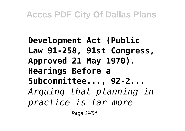**Development Act (Public Law 91-258, 91st Congress, Approved 21 May 1970). Hearings Before a Subcommittee..., 92-2...** *Arguing that planning in practice is far more*

Page 29/54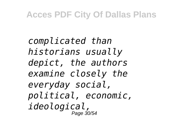*complicated than historians usually depict, the authors examine closely the everyday social, political, economic, ideological,* Page 30/54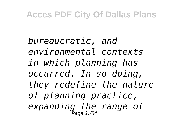*bureaucratic, and environmental contexts in which planning has occurred. In so doing, they redefine the nature of planning practice, expanding the range of* Page 31/54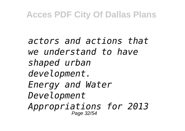*actors and actions that we understand to have shaped urban development. Energy and Water Development Appropriations for 2013* Page 32/54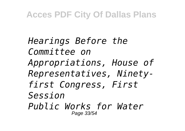*Hearings Before the Committee on Appropriations, House of Representatives, Ninetyfirst Congress, First Session Public Works for Water* Page 33/54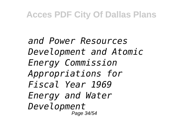*and Power Resources Development and Atomic Energy Commission Appropriations for Fiscal Year 1969 Energy and Water Development* Page 34/54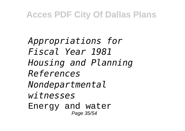*Appropriations for Fiscal Year 1981 Housing and Planning References Nondepartmental witnesses* Energy and water Page 35/54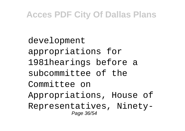development appropriations for 1981hearings before a subcommittee of the Committee on Appropriations, House of Representatives, Ninety-Page 36/54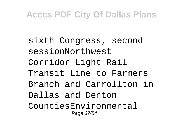sixth Congress, second sessionNorthwest Corridor Light Rail Transit Line to Farmers Branch and Carrollton in Dallas and Denton CountiesEnvironmental Page 37/54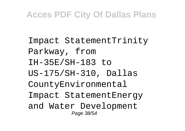Impact StatementTrinity Parkway, from IH-35E/SH-183 to US-175/SH-310, Dallas CountyEnvironmental Impact StatementEnergy and Water Development Page 38/54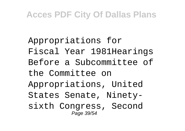Appropriations for Fiscal Year 1981Hearings Before a Subcommittee of the Committee on Appropriations, United States Senate, Ninetysixth Congress, Second Page 39/54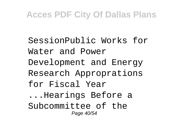SessionPublic Works for Water and Power Development and Energy Research Approprations for Fiscal Year ...Hearings Before a Subcommittee of the Page 40/54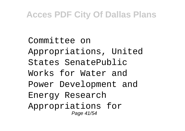Committee on Appropriations, United States SenatePublic Works for Water and Power Development and Energy Research Appropriations for Page 41/54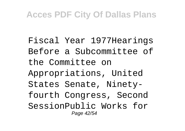Fiscal Year 1977Hearings Before a Subcommittee of the Committee on Appropriations, United States Senate, Ninetyfourth Congress, Second SessionPublic Works for Page 42/54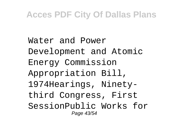Water and Power Development and Atomic Energy Commission Appropriation Bill, 1974Hearings, Ninetythird Congress, First SessionPublic Works for Page 43/54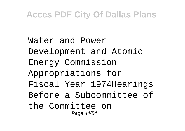Water and Power Development and Atomic Energy Commission Appropriations for Fiscal Year 1974Hearings Before a Subcommittee of the Committee on Page 44/54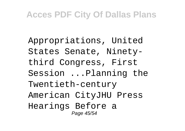Appropriations, United States Senate, Ninetythird Congress, First Session ...Planning the Twentieth-century American CityJHU Press Hearings Before a Page 45/54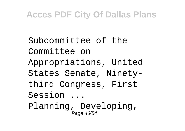Subcommittee of the Committee on Appropriations, United States Senate, Ninetythird Congress, First Session ...

Planning, Developing, Page 46/54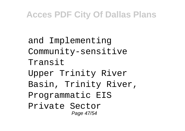and Implementing Community-sensitive Transit Upper Trinity River Basin, Trinity River, Programmatic EIS Private Sector Page 47/54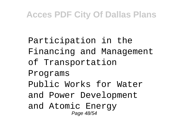Participation in the Financing and Management of Transportation Programs Public Works for Water and Power Development and Atomic Energy Page 48/54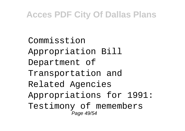Commisstion Appropriation Bill Department of Transportation and Related Agencies Appropriations for 1991: Testimony of memembers Page 49/54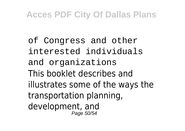of Congress and other interested individuals and organizations This booklet describes and illustrates some of the ways the transportation planning, development, and Page 50/54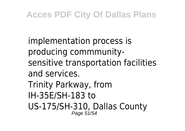implementation process is producing commmunitysensitive transportation facilities and services. Trinity Parkway, from IH-35E/SH-183 to US-175/SH-310, Dallas County Page 51/54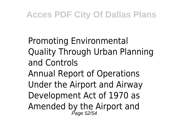Promoting Environmental Quality Through Urban Planning and Controls Annual Report of Operations Under the Airport and Airway Development Act of 1970 as Amended by the Airport and<br>Page 52/54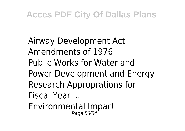Airway Development Act Amendments of 1976 Public Works for Water and Power Development and Energy Research Approprations for Fiscal Year ... Environmental Impact Page 53/54